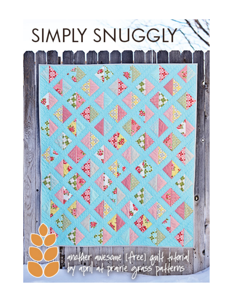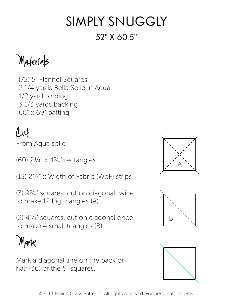## Simply Snuggly 52" x 60.5"

Materials

(72) 5" Flannel Squares 2 1/4 yards Bella Solid in Aqua 1/2 yard binding 3 1/3 yards backing 60" x 69" batting

## $\ell$

From Aqua solid:

(60) 2¼" x 4¾" rectangles

(13) 2¼" x Width of Fabric (WoF) strips

(3) 9¾" squares, cut on diagonal twice to make 12 big triangles (A)

(2) 4¼" squares, cut on diagonal once to make 4 small triangles (B)

Mark

Mark a diagonal line on the back of half (36) of the 5" squares.





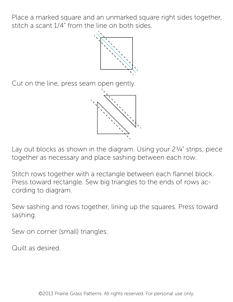Place a marked square and an unmarked square right sides together, stitch a scant 1/4" from the line on both sides.



Cut on the line, press seam open gently.



Lay out blocks as shown in the diagram. Using your 2¼" strips, piece together as necessary and place sashing between each row.

Stitch rows together with a rectangle between each flannel block. Press toward rectangle. Sew big triangles to the ends of rows according to diagram.

Sew sashing and rows together, lining up the squares. Press toward sashing.

Sew on corner (small) triangles.

Quilt as desired.